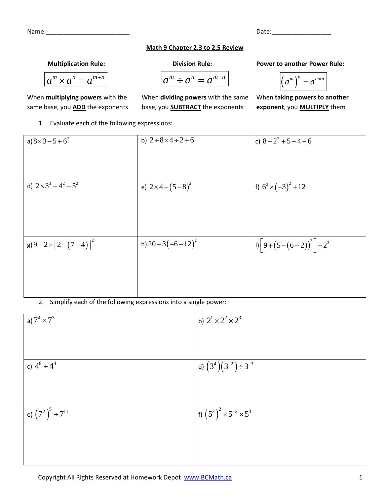| Name: | Date: |
|-------|-------|
|       |       |

## **Math 9 Chapter 2.3 to 2.5 Review**

## **Multiplication Rule: Division Rule: Power to another Power Rule:**

$$
a^m \times a^n = a^{m+n}
$$

same base, you **ADD** the exponents base, you **SUBTRACT** the exponents **exponent**, you **MULTIPLY** them

1. Evaluate each of the following expressions:

$$
\times a^{n} = a^{m+n}
$$
\n
$$
\begin{array}{ccc}\n a^{m} \div a^{n} & = a^{m-n} \\
\hline\n a^{m} \div a^{n} & = a^{m-n}\n \end{array}
$$
\nFourier to another rowe

\n
$$
\boxed{a^{m}}^{n} = a^{m \times n}
$$

$$
(a^m)^n=a^{m\times n}
$$

When **multiplying powers** with the When **dividing powers** with the same When **taking powers to another**

a) 
$$
8 \times 3 - 5 + 6^2
$$
  
\nb)  $2 \div 8 \times 4 \div 2 + 6$   
\nc)  $8 - 2^2 + 5 - 4 - 6$   
\nd)  $2 \times 3^3 + 4^2 - 5^2$   
\ne)  $2 \times 4 - (5 - 8)^2$   
\nf)  $6^3 \times (-3)^2 + 12$   
\ng)  $9 - 2 \times [2 - (7 - 4)]^2$   
\nh)  $20 - 3(-6 + 12)^2$   
\n $9 - 2 \times 2^2 + 5 - 4 - 6$   
\n $10 - 3(-6 + 12)^2$   
\n $11 - (9 + (5 - (6 + 2))^3) - 2^3$ 

2. Simplify each of the following expressions into a single power:

| a) $7^4 \times 7^3$        | b) $2^1 \times 2^2 \times 2^3$        |
|----------------------------|---------------------------------------|
|                            |                                       |
|                            |                                       |
| c) $4^8 \div 4^4$          | d) $(3^4)(3^{-2}) \div 3^{-3}$        |
|                            |                                       |
|                            |                                       |
| l e) $(7^2)^5 \div 7^{11}$ | f) $(5^3)^2 \times 5^{-2} \times 5^3$ |
|                            |                                       |
|                            |                                       |
|                            |                                       |